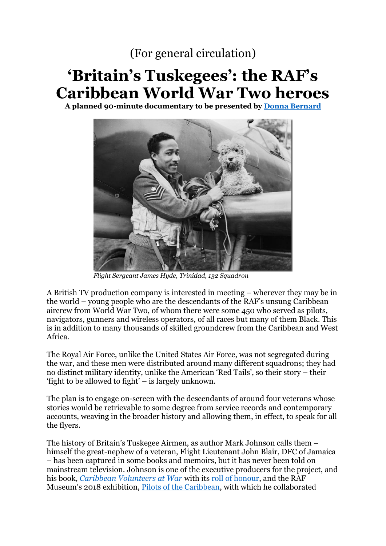## (For general circulation)

## **'Britain's Tuskegees': the RAF's Caribbean World War Two heroes**

**A planned 90-minute documentary to be presented by [Donna Bernard](https://en.wikipedia.org/wiki/Donna_Bernard)**



*Flight Sergeant James Hyde, Trinidad, 132 Squadron*

A British TV production company is interested in meeting – wherever they may be in the world – young people who are the descendants of the RAF's unsung Caribbean aircrew from World War Two, of whom there were some 450 who served as pilots, navigators, gunners and wireless operators, of all races but many of them Black. This is in addition to many thousands of skilled groundcrew from the Caribbean and West Africa.

The Royal Air Force, unlike the United States Air Force, was not segregated during the war, and these men were distributed around many different squadrons; they had no distinct military identity, unlike the American 'Red Tails', so their story – their 'fight to be allowed to fight' – is largely unknown.

The plan is to engage on-screen with the descendants of around four veterans whose stories would be retrievable to some degree from service records and contemporary accounts, weaving in the broader history and allowing them, in effect, to speak for all the flyers.

The history of Britain's Tuskegee Airmen, as author Mark Johnson calls them – himself the great-nephew of a veteran, Flight Lieutenant John Blair, DFC of Jamaica – has been captured in some books and memoirs, but it has never been told on mainstream television. Johnson is one of the executive producers for the project, and his book, *[Caribbean Volunteers at War](https://www.amazon.co.uk/Caribbean-Volunteers-War-Forgotten-Tuskegee/dp/1783462914)* with its [roll of honour,](http://s473987616.initial-website.co.uk/caribbean-raf-roll-of-honour/trinidad/) and the RAF Museum's 2018 exhibition, [Pilots of the Caribbean,](https://www.rafmuseum.org.uk/research/online-exhibitions/pilots-of-the-caribbean/) with which he collaborated